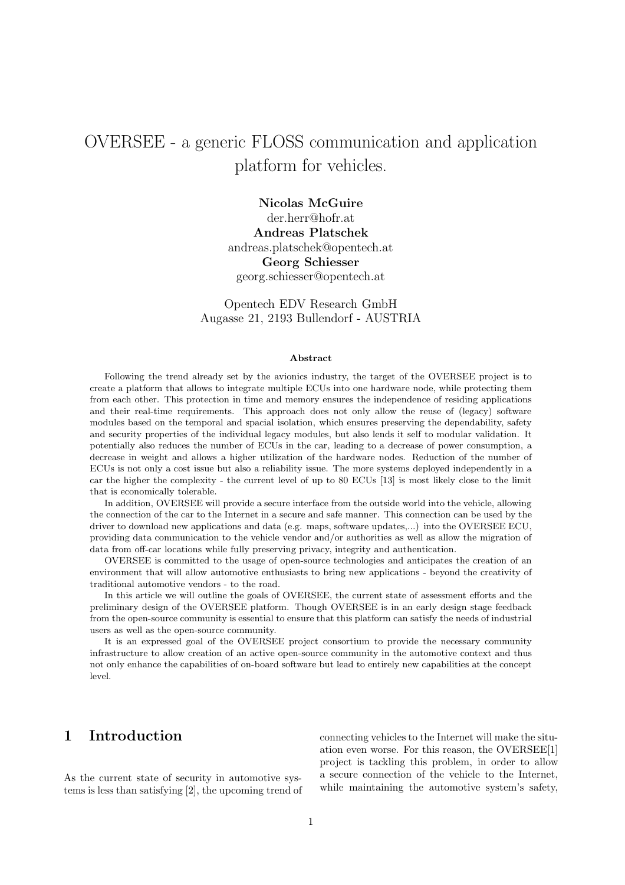# OVERSEE - a generic FLOSS communication and application platform for vehicles.

Nicolas McGuire der.herr@hofr.at Andreas Platschek andreas.platschek@opentech.at Georg Schiesser georg.schiesser@opentech.at

Opentech EDV Research GmbH Augasse 21, 2193 Bullendorf - AUSTRIA

#### Abstract

Following the trend already set by the avionics industry, the target of the OVERSEE project is to create a platform that allows to integrate multiple ECUs into one hardware node, while protecting them from each other. This protection in time and memory ensures the independence of residing applications and their real-time requirements. This approach does not only allow the reuse of (legacy) software modules based on the temporal and spacial isolation, which ensures preserving the dependability, safety and security properties of the individual legacy modules, but also lends it self to modular validation. It potentially also reduces the number of ECUs in the car, leading to a decrease of power consumption, a decrease in weight and allows a higher utilization of the hardware nodes. Reduction of the number of ECUs is not only a cost issue but also a reliability issue. The more systems deployed independently in a car the higher the complexity - the current level of up to 80 ECUs [13] is most likely close to the limit that is economically tolerable.

In addition, OVERSEE will provide a secure interface from the outside world into the vehicle, allowing the connection of the car to the Internet in a secure and safe manner. This connection can be used by the driver to download new applications and data (e.g. maps, software updates,...) into the OVERSEE ECU, providing data communication to the vehicle vendor and/or authorities as well as allow the migration of data from off-car locations while fully preserving privacy, integrity and authentication.

OVERSEE is committed to the usage of open-source technologies and anticipates the creation of an environment that will allow automotive enthusiasts to bring new applications - beyond the creativity of traditional automotive vendors - to the road.

In this article we will outline the goals of OVERSEE, the current state of assessment efforts and the preliminary design of the OVERSEE platform. Though OVERSEE is in an early design stage feedback from the open-source community is essential to ensure that this platform can satisfy the needs of industrial users as well as the open-source community.

It is an expressed goal of the OVERSEE project consortium to provide the necessary community infrastructure to allow creation of an active open-source community in the automotive context and thus not only enhance the capabilities of on-board software but lead to entirely new capabilities at the concept level.

### 1 Introduction

As the current state of security in automotive systems is less than satisfying [2], the upcoming trend of connecting vehicles to the Internet will make the situation even worse. For this reason, the OVERSEE[1] project is tackling this problem, in order to allow a secure connection of the vehicle to the Internet, while maintaining the automotive system's safety,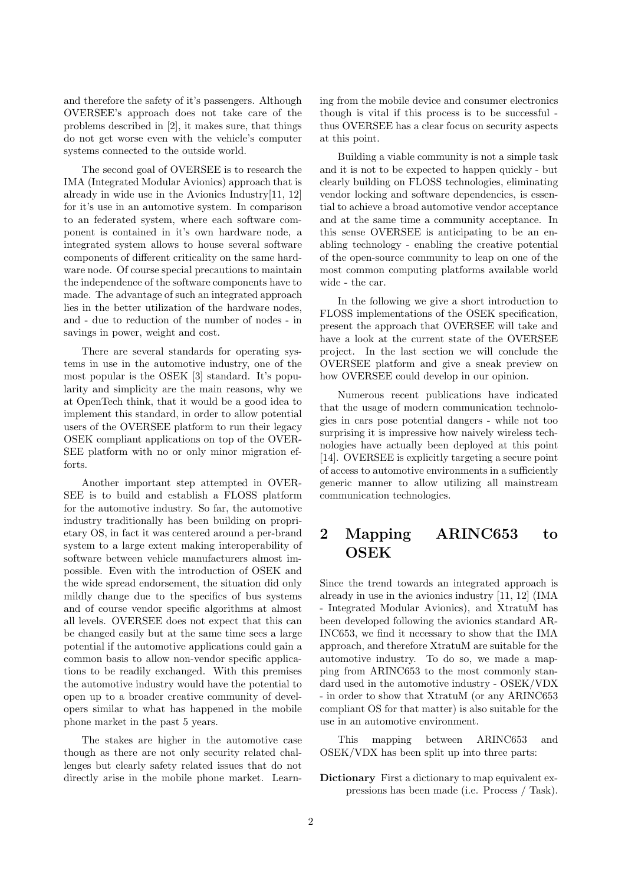and therefore the safety of it's passengers. Although OVERSEE's approach does not take care of the problems described in [2], it makes sure, that things do not get worse even with the vehicle's computer systems connected to the outside world.

The second goal of OVERSEE is to research the IMA (Integrated Modular Avionics) approach that is already in wide use in the Avionics Industry[11, 12] for it's use in an automotive system. In comparison to an federated system, where each software component is contained in it's own hardware node, a integrated system allows to house several software components of different criticality on the same hardware node. Of course special precautions to maintain the independence of the software components have to made. The advantage of such an integrated approach lies in the better utilization of the hardware nodes, and - due to reduction of the number of nodes - in savings in power, weight and cost.

There are several standards for operating systems in use in the automotive industry, one of the most popular is the OSEK [3] standard. It's popularity and simplicity are the main reasons, why we at OpenTech think, that it would be a good idea to implement this standard, in order to allow potential users of the OVERSEE platform to run their legacy OSEK compliant applications on top of the OVER-SEE platform with no or only minor migration efforts.

Another important step attempted in OVER-SEE is to build and establish a FLOSS platform for the automotive industry. So far, the automotive industry traditionally has been building on proprietary OS, in fact it was centered around a per-brand system to a large extent making interoperability of software between vehicle manufacturers almost impossible. Even with the introduction of OSEK and the wide spread endorsement, the situation did only mildly change due to the specifics of bus systems and of course vendor specific algorithms at almost all levels. OVERSEE does not expect that this can be changed easily but at the same time sees a large potential if the automotive applications could gain a common basis to allow non-vendor specific applications to be readily exchanged. With this premises the automotive industry would have the potential to open up to a broader creative community of developers similar to what has happened in the mobile phone market in the past 5 years.

The stakes are higher in the automotive case though as there are not only security related challenges but clearly safety related issues that do not directly arise in the mobile phone market. Learning from the mobile device and consumer electronics though is vital if this process is to be successful thus OVERSEE has a clear focus on security aspects at this point.

Building a viable community is not a simple task and it is not to be expected to happen quickly - but clearly building on FLOSS technologies, eliminating vendor locking and software dependencies, is essential to achieve a broad automotive vendor acceptance and at the same time a community acceptance. In this sense OVERSEE is anticipating to be an enabling technology - enabling the creative potential of the open-source community to leap on one of the most common computing platforms available world wide - the car.

In the following we give a short introduction to FLOSS implementations of the OSEK specification, present the approach that OVERSEE will take and have a look at the current state of the OVERSEE project. In the last section we will conclude the OVERSEE platform and give a sneak preview on how OVERSEE could develop in our opinion.

Numerous recent publications have indicated that the usage of modern communication technologies in cars pose potential dangers - while not too surprising it is impressive how naively wireless technologies have actually been deployed at this point [14]. OVERSEE is explicitly targeting a secure point of access to automotive environments in a sufficiently generic manner to allow utilizing all mainstream communication technologies.

### 2 Mapping ARINC653 to **OSEK**

Since the trend towards an integrated approach is already in use in the avionics industry [11, 12] (IMA - Integrated Modular Avionics), and XtratuM has been developed following the avionics standard AR-INC653, we find it necessary to show that the IMA approach, and therefore XtratuM are suitable for the automotive industry. To do so, we made a mapping from ARINC653 to the most commonly standard used in the automotive industry - OSEK/VDX - in order to show that XtratuM (or any ARINC653 compliant OS for that matter) is also suitable for the use in an automotive environment.

This mapping between ARINC653 and OSEK/VDX has been split up into three parts:

Dictionary First a dictionary to map equivalent expressions has been made (i.e. Process / Task).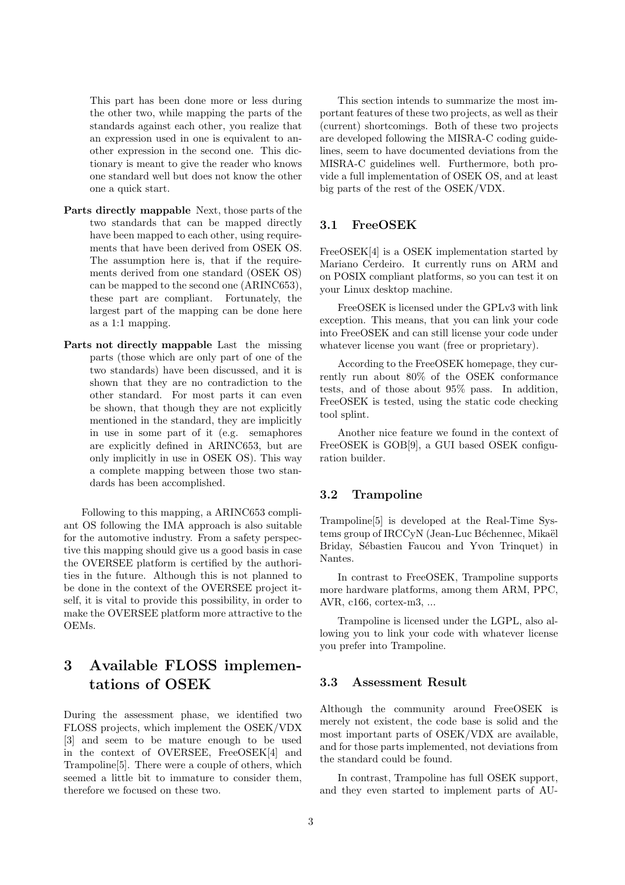This part has been done more or less during the other two, while mapping the parts of the standards against each other, you realize that an expression used in one is equivalent to another expression in the second one. This dictionary is meant to give the reader who knows one standard well but does not know the other one a quick start.

- Parts directly mappable Next, those parts of the two standards that can be mapped directly have been mapped to each other, using requirements that have been derived from OSEK OS. The assumption here is, that if the requirements derived from one standard (OSEK OS) can be mapped to the second one (ARINC653), these part are compliant. Fortunately, the largest part of the mapping can be done here as a 1:1 mapping.
- Parts not directly mappable Last the missing parts (those which are only part of one of the two standards) have been discussed, and it is shown that they are no contradiction to the other standard. For most parts it can even be shown, that though they are not explicitly mentioned in the standard, they are implicitly in use in some part of it (e.g. semaphores are explicitly defined in ARINC653, but are only implicitly in use in OSEK OS). This way a complete mapping between those two standards has been accomplished.

Following to this mapping, a ARINC653 compliant OS following the IMA approach is also suitable for the automotive industry. From a safety perspective this mapping should give us a good basis in case the OVERSEE platform is certified by the authorities in the future. Although this is not planned to be done in the context of the OVERSEE project itself, it is vital to provide this possibility, in order to make the OVERSEE platform more attractive to the OEMs.

## 3 Available FLOSS implementations of OSEK

During the assessment phase, we identified two FLOSS projects, which implement the OSEK/VDX [3] and seem to be mature enough to be used in the context of OVERSEE, FreeOSEK[4] and Trampoline[5]. There were a couple of others, which seemed a little bit to immature to consider them, therefore we focused on these two.

This section intends to summarize the most important features of these two projects, as well as their (current) shortcomings. Both of these two projects are developed following the MISRA-C coding guidelines, seem to have documented deviations from the MISRA-C guidelines well. Furthermore, both provide a full implementation of OSEK OS, and at least big parts of the rest of the OSEK/VDX.

### 3.1 FreeOSEK

FreeOSEK[4] is a OSEK implementation started by Mariano Cerdeiro. It currently runs on ARM and on POSIX compliant platforms, so you can test it on your Linux desktop machine.

FreeOSEK is licensed under the GPLv3 with link exception. This means, that you can link your code into FreeOSEK and can still license your code under whatever license you want (free or proprietary).

According to the FreeOSEK homepage, they currently run about 80% of the OSEK conformance tests, and of those about 95% pass. In addition, FreeOSEK is tested, using the static code checking tool splint.

Another nice feature we found in the context of FreeOSEK is GOB[9], a GUI based OSEK configuration builder.

#### 3.2 Trampoline

Trampoline[5] is developed at the Real-Time Systems group of IRCCyN (Jean-Luc Béchennec, Mikaël Briday, Sébastien Faucou and Yvon Trinquet) in Nantes.

In contrast to FreeOSEK, Trampoline supports more hardware platforms, among them ARM, PPC, AVR, c166, cortex-m3, ...

Trampoline is licensed under the LGPL, also allowing you to link your code with whatever license you prefer into Trampoline.

#### 3.3 Assessment Result

Although the community around FreeOSEK is merely not existent, the code base is solid and the most important parts of OSEK/VDX are available, and for those parts implemented, not deviations from the standard could be found.

In contrast, Trampoline has full OSEK support, and they even started to implement parts of AU-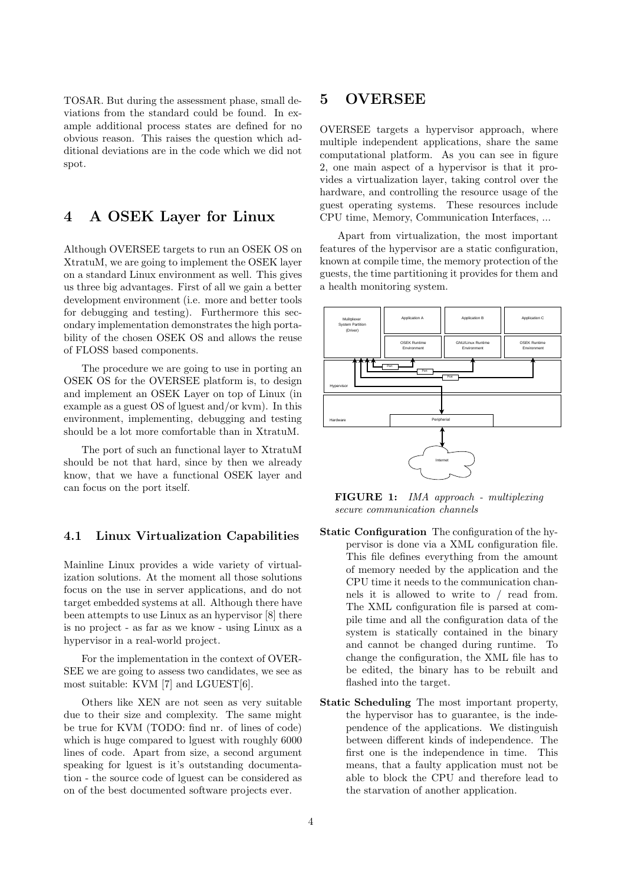TOSAR. But during the assessment phase, small deviations from the standard could be found. In example additional process states are defined for no obvious reason. This raises the question which additional deviations are in the code which we did not spot.

### 4 A OSEK Layer for Linux

Although OVERSEE targets to run an OSEK OS on XtratuM, we are going to implement the OSEK layer on a standard Linux environment as well. This gives us three big advantages. First of all we gain a better development environment (i.e. more and better tools for debugging and testing). Furthermore this secondary implementation demonstrates the high portability of the chosen OSEK OS and allows the reuse of FLOSS based components.

The procedure we are going to use in porting an OSEK OS for the OVERSEE platform is, to design and implement an OSEK Layer on top of Linux (in example as a guest OS of lguest and/or kvm). In this environment, implementing, debugging and testing should be a lot more comfortable than in XtratuM.

The port of such an functional layer to XtratuM should be not that hard, since by then we already know, that we have a functional OSEK layer and can focus on the port itself.

#### 4.1 Linux Virtualization Capabilities

Mainline Linux provides a wide variety of virtualization solutions. At the moment all those solutions focus on the use in server applications, and do not target embedded systems at all. Although there have been attempts to use Linux as an hypervisor [8] there is no project - as far as we know - using Linux as a hypervisor in a real-world project.

For the implementation in the context of OVER-SEE we are going to assess two candidates, we see as most suitable: KVM [7] and LGUEST[6].

Others like XEN are not seen as very suitable due to their size and complexity. The same might be true for KVM (TODO: find nr. of lines of code) which is huge compared to lguest with roughly 6000 lines of code. Apart from size, a second argument speaking for lguest is it's outstanding documentation - the source code of lguest can be considered as on of the best documented software projects ever.

### 5 OVERSEE

OVERSEE targets a hypervisor approach, where multiple independent applications, share the same computational platform. As you can see in figure 2, one main aspect of a hypervisor is that it provides a virtualization layer, taking control over the hardware, and controlling the resource usage of the guest operating systems. These resources include CPU time, Memory, Communication Interfaces, ...

Apart from virtualization, the most important features of the hypervisor are a static configuration, known at compile time, the memory protection of the guests, the time partitioning it provides for them and a health monitoring system.



FIGURE 1: *IMA approach - multiplexing secure communication channels*

- Static Configuration The configuration of the hypervisor is done via a XML configuration file. This file defines everything from the amount of memory needed by the application and the CPU time it needs to the communication channels it is allowed to write to / read from. The XML configuration file is parsed at compile time and all the configuration data of the system is statically contained in the binary and cannot be changed during runtime. To change the configuration, the XML file has to be edited, the binary has to be rebuilt and flashed into the target.
- Static Scheduling The most important property, the hypervisor has to guarantee, is the independence of the applications. We distinguish between different kinds of independence. The first one is the independence in time. This means, that a faulty application must not be able to block the CPU and therefore lead to the starvation of another application.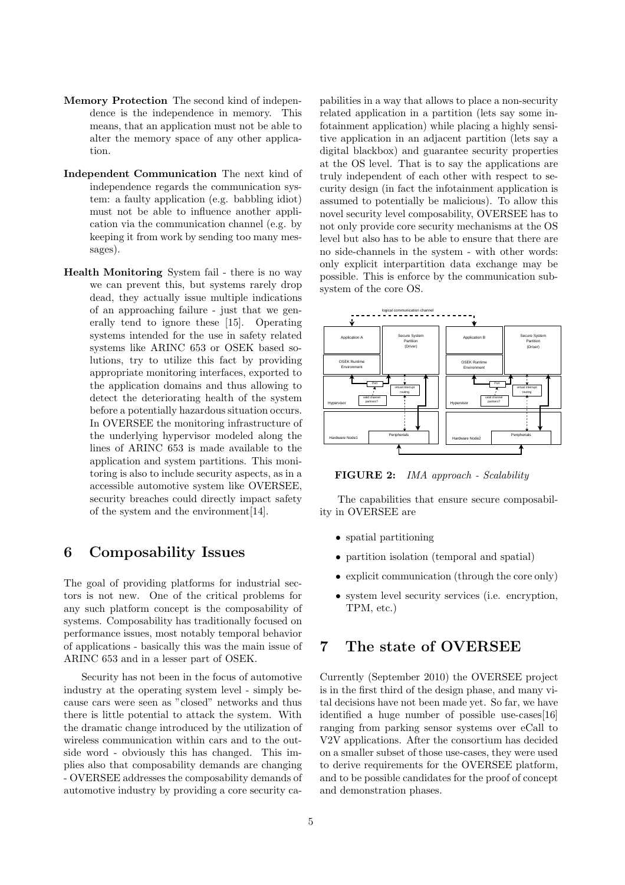- Memory Protection The second kind of independence is the independence in memory. This means, that an application must not be able to alter the memory space of any other application.
- Independent Communication The next kind of independence regards the communication system: a faulty application (e.g. babbling idiot) must not be able to influence another application via the communication channel (e.g. by keeping it from work by sending too many messages).
- Health Monitoring System fail there is no way we can prevent this, but systems rarely drop dead, they actually issue multiple indications of an approaching failure - just that we generally tend to ignore these [15]. Operating systems intended for the use in safety related systems like ARINC 653 or OSEK based solutions, try to utilize this fact by providing appropriate monitoring interfaces, exported to the application domains and thus allowing to detect the deteriorating health of the system before a potentially hazardous situation occurs. In OVERSEE the monitoring infrastructure of the underlying hypervisor modeled along the lines of ARINC 653 is made available to the application and system partitions. This monitoring is also to include security aspects, as in a accessible automotive system like OVERSEE, security breaches could directly impact safety of the system and the environment[14].

### 6 Composability Issues

The goal of providing platforms for industrial sectors is not new. One of the critical problems for any such platform concept is the composability of systems. Composability has traditionally focused on performance issues, most notably temporal behavior of applications - basically this was the main issue of ARINC 653 and in a lesser part of OSEK.

Security has not been in the focus of automotive industry at the operating system level - simply because cars were seen as "closed" networks and thus there is little potential to attack the system. With the dramatic change introduced by the utilization of wireless communication within cars and to the outside word - obviously this has changed. This implies also that composability demands are changing - OVERSEE addresses the composability demands of automotive industry by providing a core security capabilities in a way that allows to place a non-security related application in a partition (lets say some infotainment application) while placing a highly sensitive application in an adjacent partition (lets say a digital blackbox) and guarantee security properties at the OS level. That is to say the applications are truly independent of each other with respect to security design (in fact the infotainment application is assumed to potentially be malicious). To allow this novel security level composability, OVERSEE has to not only provide core security mechanisms at the OS level but also has to be able to ensure that there are no side-channels in the system - with other words: only explicit interpartition data exchange may be possible. This is enforce by the communication subsystem of the core OS.



FIGURE 2: *IMA approach - Scalability*

The capabilities that ensure secure composability in OVERSEE are

- spatial partitioning
- partition isolation (temporal and spatial)
- explicit communication (through the core only)
- system level security services (i.e. encryption, TPM, etc.)

### 7 The state of OVERSEE

Currently (September 2010) the OVERSEE project is in the first third of the design phase, and many vital decisions have not been made yet. So far, we have identified a huge number of possible use-cases[16] ranging from parking sensor systems over eCall to V2V applications. After the consortium has decided on a smaller subset of those use-cases, they were used to derive requirements for the OVERSEE platform, and to be possible candidates for the proof of concept and demonstration phases.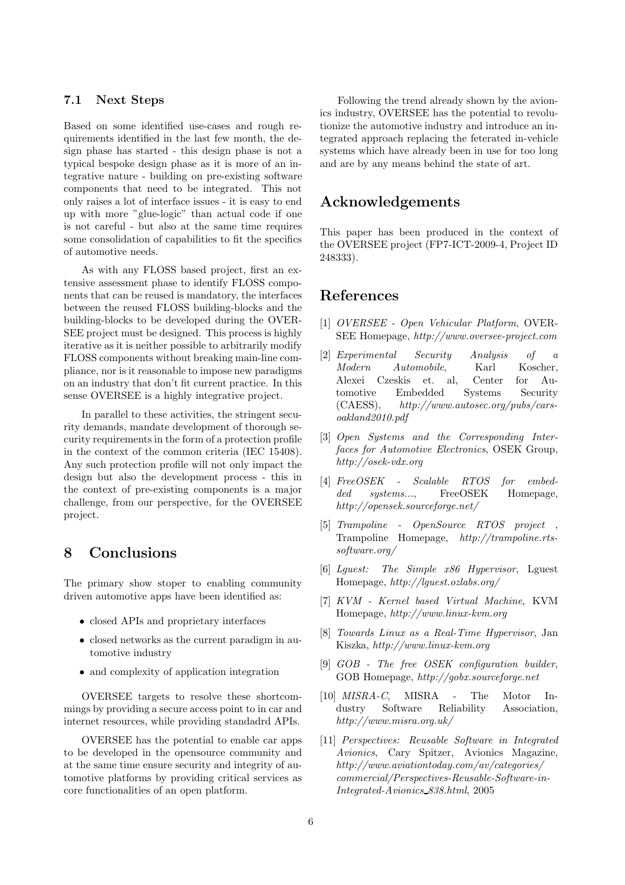#### 7.1 Next Steps

Based on some identified use-cases and rough requirements identified in the last few month, the design phase has started - this design phase is not a typical bespoke design phase as it is more of an integrative nature - building on pre-existing software components that need to be integrated. This not only raises a lot of interface issues - it is easy to end up with more "glue-logic" than actual code if one is not careful - but also at the same time requires some consolidation of capabilities to fit the specifics of automotive needs.

As with any FLOSS based project, first an extensive assessment phase to identify FLOSS components that can be reused is mandatory, the interfaces between the reused FLOSS building-blocks and the building-blocks to be developed during the OVER-SEE project must be designed. This process is highly iterative as it is neither possible to arbitrarily modify FLOSS components without breaking main-line compliance, nor is it reasonable to impose new paradigms on an industry that don't fit current practice. In this sense OVERSEE is a highly integrative project.

In parallel to these activities, the stringent security demands, mandate development of thorough security requirements in the form of a protection profile in the context of the common criteria (IEC 15408). Any such protection profile will not only impact the design but also the development process - this in the context of pre-existing components is a major challenge, from our perspective, for the OVERSEE project.

### 8 Conclusions

The primary show stoper to enabling community driven automotive apps have been identified as:

- closed APIs and proprietary interfaces
- closed networks as the current paradigm in automotive industry
- and complexity of application integration

OVERSEE targets to resolve these shortcommings by providing a secure access point to in car and internet resources, while providing standadrd APIs.

OVERSEE has the potential to enable car apps to be developed in the opensource community and at the same time ensure security and integrity of automotive platforms by providing critical services as core functionalities of an open platform.

Following the trend already shown by the avionics industry, OVERSEE has the potential to revolutionize the automotive industry and introduce an integrated approach replacing the feterated in-vehicle systems which have already been in use for too long and are by any means behind the state of art.

### Acknowledgements

This paper has been produced in the context of the OVERSEE project (FP7-ICT-2009-4, Project ID 248333).

### References

- [1] *OVERSEE Open Vehicular Platform*, OVER-SEE Homepage, *http://www.oversee-project.com*
- [2] *Experimental Security Analysis of a Modern Automobile*, Karl Koscher, Alexei Czeskis et. al, Center for Automotive Embedded Systems Security (CAESS), *http://www.autosec.org/pubs/carsoakland2010.pdf*
- [3] *Open Systems and the Corresponding Interfaces for Automotive Electronics*, OSEK Group, *http://osek-vdx.org*
- [4] *FreeOSEK Scalable RTOS for embedded systems...*, FreeOSEK Homepage, *http://opensek.sourceforge.net/*
- [5] *Trampoline OpenSource RTOS project* , Trampoline Homepage, *http://trampoline.rtssoftware.org/*
- [6] *Lguest: The Simple x86 Hypervisor*, Lguest Homepage, *http://lguest.ozlabs.org/*
- [7] *KVM Kernel based Virtual Machine*, KVM Homepage, *http://www.linux-kvm.org*
- [8] *Towards Linux as a Real-Time Hypervisor*, Jan Kiszka, *http://www.linux-kvm.org*
- [9] *GOB The free OSEK configuration builder*, GOB Homepage, *http://gobx.sourceforge.net*
- [10] *MISRA-C*, MISRA The Motor Industry Software Reliability Association, *http://www.misra.org.uk/*
- [11] *Perspectives: Reusable Software in Integrated Avionics*, Cary Spitzer, Avionics Magazine, *http://www.aviationtoday.com/av/categories/ commercial/Perspectives-Reusable-Software-in-Integrated-Avionics 838.html*, 2005